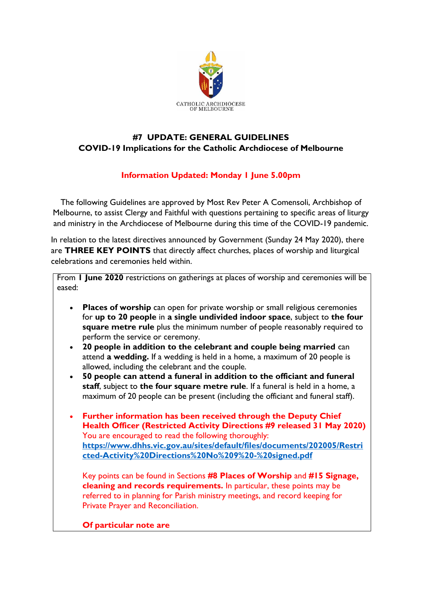

## **#7 UPDATE: GENERAL GUIDELINES COVID-19 Implications for the Catholic Archdiocese of Melbourne**

## **Information Updated: Monday 1 June 5.00pm**

The following Guidelines are approved by Most Rev Peter A Comensoli, Archbishop of Melbourne, to assist Clergy and Faithful with questions pertaining to specific areas of liturgy and ministry in the Archdiocese of Melbourne during this time of the COVID-19 pandemic.

In relation to the latest directives announced by Government (Sunday 24 May 2020), there are **THREE KEY POINTS** that directly affect churches, places of worship and liturgical celebrations and ceremonies held within.

From **1 June 2020** restrictions on gatherings at places of worship and ceremonies will be eased:

- **Places of worship** can open for private worship or small religious ceremonies for **up to 20 people** in **a single undivided indoor space**, subject to **the four square metre rule** plus the minimum number of people reasonably required to perform the service or ceremony.
- **20 people in addition to the celebrant and couple being married** can attend **a wedding.** If a wedding is held in a home, a maximum of 20 people is allowed, including the celebrant and the couple.
- **50 people can attend a funeral in addition to the officiant and funeral staff**, subject to **the four square metre rule**. If a funeral is held in a home, a maximum of 20 people can be present (including the officiant and funeral staff).
- **Further information has been received through the Deputy Chief Health Officer (Restricted Activity Directions #9 released 31 May 2020)** You are encouraged to read the following thoroughly: **[https://www.dhhs.vic.gov.au/sites/default/files/documents/202005/Restri](https://www.dhhs.vic.gov.au/sites/default/files/documents/202005/Restricted-Activity%20Directions%20No%209%20-%20signed.pdf) [cted-Activity%20Directions%20No%209%20-%20signed.pdf](https://www.dhhs.vic.gov.au/sites/default/files/documents/202005/Restricted-Activity%20Directions%20No%209%20-%20signed.pdf)**

Key points can be found in Sections **#8 Places of Worship** and **#15 Signage, cleaning and records requirements.** In particular, these points may be referred to in planning for Parish ministry meetings, and record keeping for Private Prayer and Reconciliation.

**Of particular note are**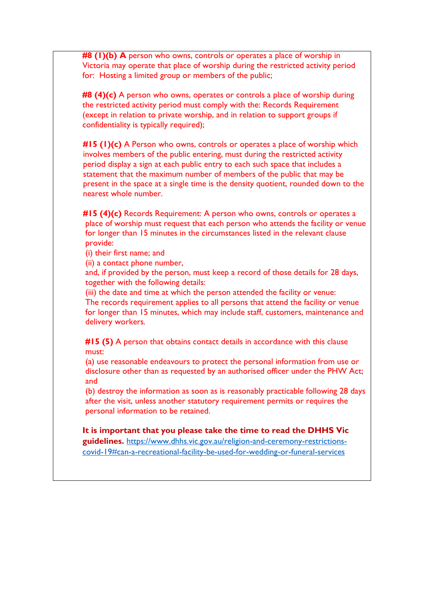**#8 (1)(b) A** person who owns, controls or operates a place of worship in Victoria may operate that place of worship during the restricted activity period for: Hosting a limited group or members of the public;

**#8 (4)(c)** A person who owns, operates or controls a place of worship during the restricted activity period must comply with the: Records Requirement (except in relation to private worship, and in relation to support groups if confidentiality is typically required);

 **#15 (1)(c)** A Person who owns, controls or operates a place of worship which involves members of the public entering, must during the restricted activity period display a sign at each public entry to each such space that includes a statement that the maximum number of members of the public that may be present in the space at a single time is the density quotient, rounded down to the nearest whole number.

 **#15 (4)(c)** Records Requirement: A person who owns, controls or operates a place of worship must request that each person who attends the facility or venue for longer than 15 minutes in the circumstances listed in the relevant clause provide:

(i) their first name; and

(ii) a contact phone number,

 and, if provided by the person, must keep a record of those details for 28 days, together with the following details:

 (iii) the date and time at which the person attended the facility or venue: The records requirement applies to all persons that attend the facility or venue for longer than 15 minutes, which may include staff, customers, maintenance and delivery workers.

 **#15 (5)** A person that obtains contact details in accordance with this clause must:

 (a) use reasonable endeavours to protect the personal information from use or disclosure other than as requested by an authorised officer under the PHW Act; and

 (b) destroy the information as soon as is reasonably practicable following 28 days after the visit, unless another statutory requirement permits or requires the personal information to be retained.

**It is important that you please take the time to read the DHHS Vic guidelines.** [https://www.dhhs.vic.gov.au/religion-and-ceremony-restrictions](https://www.dhhs.vic.gov.au/religion-and-ceremony-restrictions-covid-19#can-a-recreational-facility-be-used-for-wedding-or-funeral-services)[covid-19#can-a-recreational-facility-be-used-for-wedding-or-funeral-services](https://www.dhhs.vic.gov.au/religion-and-ceremony-restrictions-covid-19#can-a-recreational-facility-be-used-for-wedding-or-funeral-services)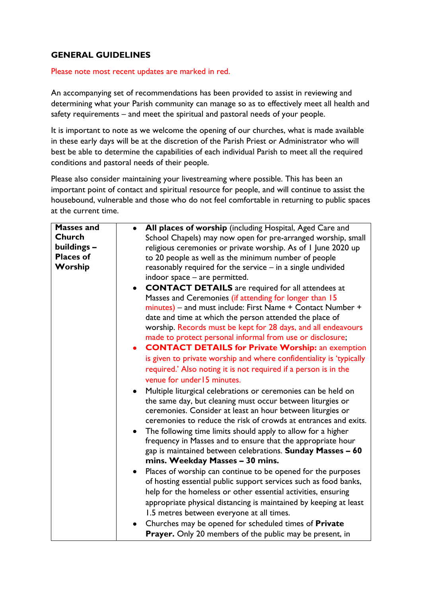## **GENERAL GUIDELINES**

## Please note most recent updates are marked in red.

An accompanying set of recommendations has been provided to assist in reviewing and determining what your Parish community can manage so as to effectively meet all health and safety requirements – and meet the spiritual and pastoral needs of your people.

It is important to note as we welcome the opening of our churches, what is made available in these early days will be at the discretion of the Parish Priest or Administrator who will best be able to determine the capabilities of each individual Parish to meet all the required conditions and pastoral needs of their people.

Please also consider maintaining your livestreaming where possible. This has been an important point of contact and spiritual resource for people, and will continue to assist the housebound, vulnerable and those who do not feel comfortable in returning to public spaces at the current time.

| <b>Masses and</b> | All places of worship (including Hospital, Aged Care and<br>$\bullet$                                                         |
|-------------------|-------------------------------------------------------------------------------------------------------------------------------|
| <b>Church</b>     | School Chapels) may now open for pre-arranged worship, small                                                                  |
| buildings -       | religious ceremonies or private worship. As of I June 2020 up                                                                 |
| <b>Places of</b>  | to 20 people as well as the minimum number of people                                                                          |
| Worship           | reasonably required for the service - in a single undivided                                                                   |
|                   | indoor space - are permitted.                                                                                                 |
|                   | <b>CONTACT DETAILS</b> are required for all attendees at<br>$\bullet$                                                         |
|                   | Masses and Ceremonies (if attending for longer than 15                                                                        |
|                   | minutes) - and must include: First Name + Contact Number +                                                                    |
|                   | date and time at which the person attended the place of                                                                       |
|                   | worship. Records must be kept for 28 days, and all endeavours                                                                 |
|                   | made to protect personal informal from use or disclosure;                                                                     |
|                   | <b>CONTACT DETAILS for Private Worship: an exemption</b><br>$\bullet$                                                         |
|                   | is given to private worship and where confidentiality is 'typically                                                           |
|                   | required.' Also noting it is not required if a person is in the                                                               |
|                   | venue for under 15 minutes.                                                                                                   |
|                   |                                                                                                                               |
|                   | Multiple liturgical celebrations or ceremonies can be held on<br>$\bullet$                                                    |
|                   | the same day, but cleaning must occur between liturgies or                                                                    |
|                   | ceremonies. Consider at least an hour between liturgies or<br>ceremonies to reduce the risk of crowds at entrances and exits. |
|                   |                                                                                                                               |
|                   | The following time limits should apply to allow for a higher<br>$\bullet$                                                     |
|                   | frequency in Masses and to ensure that the appropriate hour                                                                   |
|                   | gap is maintained between celebrations. Sunday Masses - 60                                                                    |
|                   | mins. Weekday Masses - 30 mins.                                                                                               |
|                   | Places of worship can continue to be opened for the purposes<br>$\bullet$                                                     |
|                   | of hosting essential public support services such as food banks,                                                              |
|                   | help for the homeless or other essential activities, ensuring                                                                 |
|                   | appropriate physical distancing is maintained by keeping at least                                                             |
|                   | 1.5 metres between everyone at all times.                                                                                     |
|                   | Churches may be opened for scheduled times of Private                                                                         |
|                   | Prayer. Only 20 members of the public may be present, in                                                                      |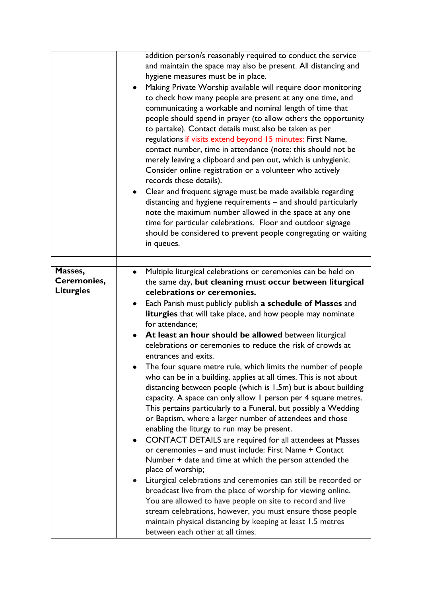|                  | addition person/s reasonably required to conduct the service<br>and maintain the space may also be present. All distancing and<br>hygiene measures must be in place.<br>Making Private Worship available will require door monitoring<br>$\bullet$<br>to check how many people are present at any one time, and<br>communicating a workable and nominal length of time that<br>people should spend in prayer (to allow others the opportunity<br>to partake). Contact details must also be taken as per<br>regulations if visits extend beyond 15 minutes: First Name,<br>contact number, time in attendance (note: this should not be<br>merely leaving a clipboard and pen out, which is unhygienic.<br>Consider online registration or a volunteer who actively<br>records these details).<br>Clear and frequent signage must be made available regarding<br>$\bullet$<br>distancing and hygiene requirements - and should particularly<br>note the maximum number allowed in the space at any one |
|------------------|-------------------------------------------------------------------------------------------------------------------------------------------------------------------------------------------------------------------------------------------------------------------------------------------------------------------------------------------------------------------------------------------------------------------------------------------------------------------------------------------------------------------------------------------------------------------------------------------------------------------------------------------------------------------------------------------------------------------------------------------------------------------------------------------------------------------------------------------------------------------------------------------------------------------------------------------------------------------------------------------------------|
|                  | time for particular celebrations. Floor and outdoor signage<br>should be considered to prevent people congregating or waiting<br>in queues.                                                                                                                                                                                                                                                                                                                                                                                                                                                                                                                                                                                                                                                                                                                                                                                                                                                           |
|                  |                                                                                                                                                                                                                                                                                                                                                                                                                                                                                                                                                                                                                                                                                                                                                                                                                                                                                                                                                                                                       |
| Masses,          | Multiple liturgical celebrations or ceremonies can be held on                                                                                                                                                                                                                                                                                                                                                                                                                                                                                                                                                                                                                                                                                                                                                                                                                                                                                                                                         |
| Ceremonies,      | the same day, but cleaning must occur between liturgical                                                                                                                                                                                                                                                                                                                                                                                                                                                                                                                                                                                                                                                                                                                                                                                                                                                                                                                                              |
| <b>Liturgies</b> | celebrations or ceremonies.                                                                                                                                                                                                                                                                                                                                                                                                                                                                                                                                                                                                                                                                                                                                                                                                                                                                                                                                                                           |
|                  | Each Parish must publicly publish a schedule of Masses and<br>$\bullet$                                                                                                                                                                                                                                                                                                                                                                                                                                                                                                                                                                                                                                                                                                                                                                                                                                                                                                                               |
|                  | liturgies that will take place, and how people may nominate                                                                                                                                                                                                                                                                                                                                                                                                                                                                                                                                                                                                                                                                                                                                                                                                                                                                                                                                           |
|                  | for attendance;                                                                                                                                                                                                                                                                                                                                                                                                                                                                                                                                                                                                                                                                                                                                                                                                                                                                                                                                                                                       |
|                  | At least an hour should be allowed between liturgical                                                                                                                                                                                                                                                                                                                                                                                                                                                                                                                                                                                                                                                                                                                                                                                                                                                                                                                                                 |
|                  | celebrations or ceremonies to reduce the risk of crowds at                                                                                                                                                                                                                                                                                                                                                                                                                                                                                                                                                                                                                                                                                                                                                                                                                                                                                                                                            |
|                  | entrances and exits.                                                                                                                                                                                                                                                                                                                                                                                                                                                                                                                                                                                                                                                                                                                                                                                                                                                                                                                                                                                  |
|                  | The four square metre rule, which limits the number of people<br>who can be in a building, applies at all times. This is not about<br>distancing between people (which is 1.5m) but is about building<br>capacity. A space can only allow I person per 4 square metres.<br>This pertains particularly to a Funeral, but possibly a Wedding<br>or Baptism, where a larger number of attendees and those<br>enabling the liturgy to run may be present.                                                                                                                                                                                                                                                                                                                                                                                                                                                                                                                                                 |
|                  | CONTACT DETAILS are required for all attendees at Masses<br>or ceremonies – and must include: First Name + Contact<br>Number + date and time at which the person attended the                                                                                                                                                                                                                                                                                                                                                                                                                                                                                                                                                                                                                                                                                                                                                                                                                         |
|                  | place of worship;                                                                                                                                                                                                                                                                                                                                                                                                                                                                                                                                                                                                                                                                                                                                                                                                                                                                                                                                                                                     |
|                  | Liturgical celebrations and ceremonies can still be recorded or<br>broadcast live from the place of worship for viewing online.                                                                                                                                                                                                                                                                                                                                                                                                                                                                                                                                                                                                                                                                                                                                                                                                                                                                       |
|                  | You are allowed to have people on site to record and live                                                                                                                                                                                                                                                                                                                                                                                                                                                                                                                                                                                                                                                                                                                                                                                                                                                                                                                                             |
|                  | stream celebrations, however, you must ensure those people                                                                                                                                                                                                                                                                                                                                                                                                                                                                                                                                                                                                                                                                                                                                                                                                                                                                                                                                            |
|                  | maintain physical distancing by keeping at least 1.5 metres                                                                                                                                                                                                                                                                                                                                                                                                                                                                                                                                                                                                                                                                                                                                                                                                                                                                                                                                           |
|                  | between each other at all times.                                                                                                                                                                                                                                                                                                                                                                                                                                                                                                                                                                                                                                                                                                                                                                                                                                                                                                                                                                      |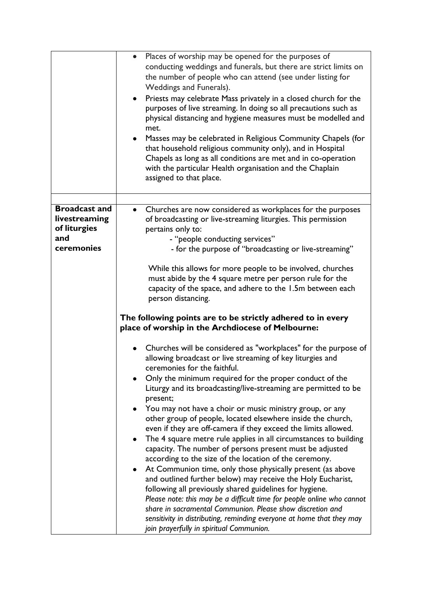|                                                              | • Places of worship may be opened for the purposes of<br>conducting weddings and funerals, but there are strict limits on<br>the number of people who can attend (see under listing for<br>Weddings and Funerals).<br>Priests may celebrate Mass privately in a closed church for the<br>$\bullet$<br>purposes of live streaming. In doing so all precautions such as<br>physical distancing and hygiene measures must be modelled and<br>met.<br>Masses may be celebrated in Religious Community Chapels (for<br>$\bullet$<br>that household religious community only), and in Hospital<br>Chapels as long as all conditions are met and in co-operation<br>with the particular Health organisation and the Chaplain<br>assigned to that place. |
|--------------------------------------------------------------|--------------------------------------------------------------------------------------------------------------------------------------------------------------------------------------------------------------------------------------------------------------------------------------------------------------------------------------------------------------------------------------------------------------------------------------------------------------------------------------------------------------------------------------------------------------------------------------------------------------------------------------------------------------------------------------------------------------------------------------------------|
|                                                              |                                                                                                                                                                                                                                                                                                                                                                                                                                                                                                                                                                                                                                                                                                                                                  |
| <b>Broadcast and</b><br>livestreaming<br>of liturgies<br>and | Churches are now considered as workplaces for the purposes<br>of broadcasting or live-streaming liturgies. This permission<br>pertains only to:<br>- "people conducting services"                                                                                                                                                                                                                                                                                                                                                                                                                                                                                                                                                                |
| ceremonies                                                   | - for the purpose of "broadcasting or live-streaming"                                                                                                                                                                                                                                                                                                                                                                                                                                                                                                                                                                                                                                                                                            |
|                                                              | While this allows for more people to be involved, churches<br>must abide by the 4 square metre per person rule for the<br>capacity of the space, and adhere to the 1.5m between each<br>person distancing.<br>The following points are to be strictly adhered to in every                                                                                                                                                                                                                                                                                                                                                                                                                                                                        |
|                                                              | place of worship in the Archdiocese of Melbourne:                                                                                                                                                                                                                                                                                                                                                                                                                                                                                                                                                                                                                                                                                                |
|                                                              | Churches will be considered as "workplaces" for the purpose of<br>allowing broadcast or live streaming of key liturgies and<br>ceremonies for the faithful.<br>Only the minimum required for the proper conduct of the<br>Liturgy and its broadcasting/live-streaming are permitted to be<br>present;                                                                                                                                                                                                                                                                                                                                                                                                                                            |
|                                                              | You may not have a choir or music ministry group, or any<br>$\bullet$<br>other group of people, located elsewhere inside the church,<br>even if they are off-camera if they exceed the limits allowed.<br>The 4 square metre rule applies in all circumstances to building<br>$\bullet$<br>capacity. The number of persons present must be adjusted<br>according to the size of the location of the ceremony.<br>At Communion time, only those physically present (as above<br>٠                                                                                                                                                                                                                                                                 |
|                                                              | and outlined further below) may receive the Holy Eucharist,<br>following all previously shared guidelines for hygiene.<br>Please note: this may be a difficult time for people online who cannot<br>share in sacramental Communion. Please show discretion and<br>sensitivity in distributing, reminding everyone at home that they may<br>join prayerfully in spiritual Communion.                                                                                                                                                                                                                                                                                                                                                              |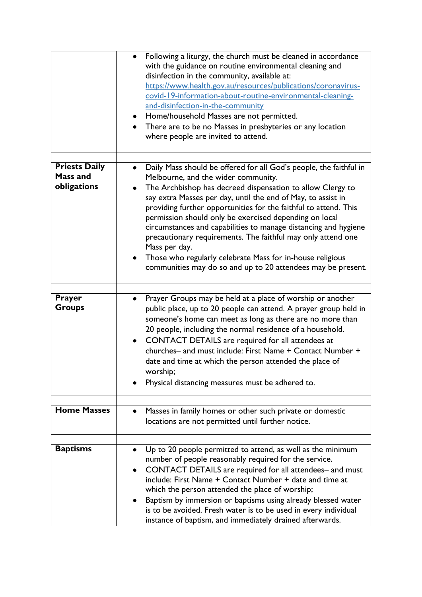|                         | Following a liturgy, the church must be cleaned in accordance<br>with the guidance on routine environmental cleaning and<br>disinfection in the community, available at:<br>https://www.health.gov.au/resources/publications/coronavirus-<br>covid-19-information-about-routine-environmental-cleaning-<br>and-disinfection-in-the-community<br>Home/household Masses are not permitted.<br>$\bullet$<br>There are to be no Masses in presbyteries or any location<br>where people are invited to attend. |
|-------------------------|-----------------------------------------------------------------------------------------------------------------------------------------------------------------------------------------------------------------------------------------------------------------------------------------------------------------------------------------------------------------------------------------------------------------------------------------------------------------------------------------------------------|
|                         |                                                                                                                                                                                                                                                                                                                                                                                                                                                                                                           |
| <b>Priests Daily</b>    | Daily Mass should be offered for all God's people, the faithful in<br>$\bullet$                                                                                                                                                                                                                                                                                                                                                                                                                           |
| Mass and                | Melbourne, and the wider community.                                                                                                                                                                                                                                                                                                                                                                                                                                                                       |
| obligations             | The Archbishop has decreed dispensation to allow Clergy to<br>say extra Masses per day, until the end of May, to assist in<br>providing further opportunities for the faithful to attend. This<br>permission should only be exercised depending on local<br>circumstances and capabilities to manage distancing and hygiene<br>precautionary requirements. The faithful may only attend one<br>Mass per day.                                                                                              |
|                         | Those who regularly celebrate Mass for in-house religious<br>communities may do so and up to 20 attendees may be present.                                                                                                                                                                                                                                                                                                                                                                                 |
|                         |                                                                                                                                                                                                                                                                                                                                                                                                                                                                                                           |
| <b>Prayer</b><br>Groups | Prayer Groups may be held at a place of worship or another<br>$\bullet$<br>public place, up to 20 people can attend. A prayer group held in<br>someone's home can meet as long as there are no more than<br>20 people, including the normal residence of a household.<br>CONTACT DETAILS are required for all attendees at<br>$\bullet$<br>churches- and must include: First Name + Contact Number +<br>date and time at which the person attended the place of<br>worship;                               |
|                         | Physical distancing measures must be adhered to.                                                                                                                                                                                                                                                                                                                                                                                                                                                          |
|                         |                                                                                                                                                                                                                                                                                                                                                                                                                                                                                                           |
| <b>Home Masses</b>      | Masses in family homes or other such private or domestic<br>locations are not permitted until further notice.                                                                                                                                                                                                                                                                                                                                                                                             |
|                         |                                                                                                                                                                                                                                                                                                                                                                                                                                                                                                           |
| <b>Baptisms</b>         | Up to 20 people permitted to attend, as well as the minimum<br>number of people reasonably required for the service.<br>CONTACT DETAILS are required for all attendees- and must<br>include: First Name + Contact Number + date and time at<br>which the person attended the place of worship;<br>Baptism by immersion or baptisms using already blessed water<br>is to be avoided. Fresh water is to be used in every individual<br>instance of baptism, and immediately drained afterwards.             |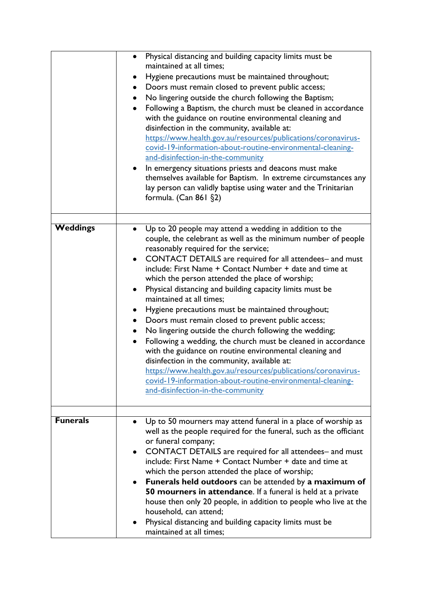|                 | Physical distancing and building capacity limits must be<br>$\bullet$<br>maintained at all times;<br>Hygiene precautions must be maintained throughout;<br>Doors must remain closed to prevent public access;<br>No lingering outside the church following the Baptism;<br>Following a Baptism, the church must be cleaned in accordance<br>$\bullet$<br>with the guidance on routine environmental cleaning and<br>disinfection in the community, available at:<br>https://www.health.gov.au/resources/publications/coronavirus-<br>covid-19-information-about-routine-environmental-cleaning-<br>and-disinfection-in-the-community<br>In emergency situations priests and deacons must make<br>$\bullet$<br>themselves available for Baptism. In extreme circumstances any<br>lay person can validly baptise using water and the Trinitarian<br>formula. (Can 861 §2)                                                                                  |
|-----------------|----------------------------------------------------------------------------------------------------------------------------------------------------------------------------------------------------------------------------------------------------------------------------------------------------------------------------------------------------------------------------------------------------------------------------------------------------------------------------------------------------------------------------------------------------------------------------------------------------------------------------------------------------------------------------------------------------------------------------------------------------------------------------------------------------------------------------------------------------------------------------------------------------------------------------------------------------------|
| <b>Weddings</b> | Up to 20 people may attend a wedding in addition to the<br>couple, the celebrant as well as the minimum number of people<br>reasonably required for the service;<br>CONTACT DETAILS are required for all attendees- and must<br>include: First Name + Contact Number + date and time at<br>which the person attended the place of worship;<br>Physical distancing and building capacity limits must be<br>maintained at all times;<br>Hygiene precautions must be maintained throughout;<br>Doors must remain closed to prevent public access;<br>No lingering outside the church following the wedding;<br>Following a wedding, the church must be cleaned in accordance<br>with the guidance on routine environmental cleaning and<br>disinfection in the community, available at:<br>https://www.health.gov.au/resources/publications/coronavirus-<br>covid-19-information-about-routine-environmental-cleaning-<br>and-disinfection-in-the-community |
| <b>Funerals</b> | Up to 50 mourners may attend funeral in a place of worship as<br>well as the people required for the funeral, such as the officiant<br>or funeral company;<br>CONTACT DETAILS are required for all attendees- and must<br>$\bullet$<br>include: First Name + Contact Number + date and time at<br>which the person attended the place of worship;<br>Funerals held outdoors can be attended by a maximum of<br>$\bullet$<br>50 mourners in attendance. If a funeral is held at a private<br>house then only 20 people, in addition to people who live at the<br>household, can attend;<br>Physical distancing and building capacity limits must be<br>maintained at all times;                                                                                                                                                                                                                                                                           |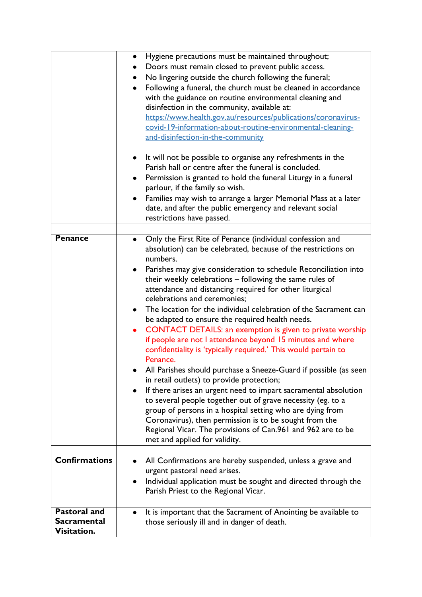|                                                   | Hygiene precautions must be maintained throughout;<br>٠<br>Doors must remain closed to prevent public access.<br>No lingering outside the church following the funeral;<br>Following a funeral, the church must be cleaned in accordance<br>with the guidance on routine environmental cleaning and<br>disinfection in the community, available at:<br>https://www.health.gov.au/resources/publications/coronavirus-<br>covid-19-information-about-routine-environmental-cleaning-<br>and-disinfection-in-the-community<br>It will not be possible to organise any refreshments in the<br>$\bullet$<br>Parish hall or centre after the funeral is concluded.<br>Permission is granted to hold the funeral Liturgy in a funeral<br>parlour, if the family so wish.<br>Families may wish to arrange a larger Memorial Mass at a later<br>date, and after the public emergency and relevant social<br>restrictions have passed.                                                                                                                                                                                                                                                                                          |
|---------------------------------------------------|-----------------------------------------------------------------------------------------------------------------------------------------------------------------------------------------------------------------------------------------------------------------------------------------------------------------------------------------------------------------------------------------------------------------------------------------------------------------------------------------------------------------------------------------------------------------------------------------------------------------------------------------------------------------------------------------------------------------------------------------------------------------------------------------------------------------------------------------------------------------------------------------------------------------------------------------------------------------------------------------------------------------------------------------------------------------------------------------------------------------------------------------------------------------------------------------------------------------------|
|                                                   |                                                                                                                                                                                                                                                                                                                                                                                                                                                                                                                                                                                                                                                                                                                                                                                                                                                                                                                                                                                                                                                                                                                                                                                                                       |
| <b>Penance</b>                                    | Only the First Rite of Penance (individual confession and<br>$\bullet$<br>absolution) can be celebrated, because of the restrictions on<br>numbers.<br>Parishes may give consideration to schedule Reconciliation into<br>$\bullet$<br>their weekly celebrations - following the same rules of<br>attendance and distancing required for other liturgical<br>celebrations and ceremonies;<br>The location for the individual celebration of the Sacrament can<br>٠<br>be adapted to ensure the required health needs.<br>CONTACT DETAILS: an exemption is given to private worship<br>if people are not I attendance beyond 15 minutes and where<br>confidentiality is 'typically required.' This would pertain to<br>Penance.<br>All Parishes should purchase a Sneeze-Guard if possible (as seen<br>in retail outlets) to provide protection;<br>If there arises an urgent need to impart sacramental absolution<br>$\bullet$<br>to several people together out of grave necessity (eg. to a<br>group of persons in a hospital setting who are dying from<br>Coronavirus), then permission is to be sought from the<br>Regional Vicar. The provisions of Can.961 and 962 are to be<br>met and applied for validity. |
| <b>Confirmations</b>                              | All Confirmations are hereby suspended, unless a grave and<br>urgent pastoral need arises.<br>Individual application must be sought and directed through the<br>٠                                                                                                                                                                                                                                                                                                                                                                                                                                                                                                                                                                                                                                                                                                                                                                                                                                                                                                                                                                                                                                                     |
|                                                   | Parish Priest to the Regional Vicar.                                                                                                                                                                                                                                                                                                                                                                                                                                                                                                                                                                                                                                                                                                                                                                                                                                                                                                                                                                                                                                                                                                                                                                                  |
|                                                   |                                                                                                                                                                                                                                                                                                                                                                                                                                                                                                                                                                                                                                                                                                                                                                                                                                                                                                                                                                                                                                                                                                                                                                                                                       |
| <b>Pastoral and</b><br>Sacramental<br>Visitation. | It is important that the Sacrament of Anointing be available to<br>those seriously ill and in danger of death.                                                                                                                                                                                                                                                                                                                                                                                                                                                                                                                                                                                                                                                                                                                                                                                                                                                                                                                                                                                                                                                                                                        |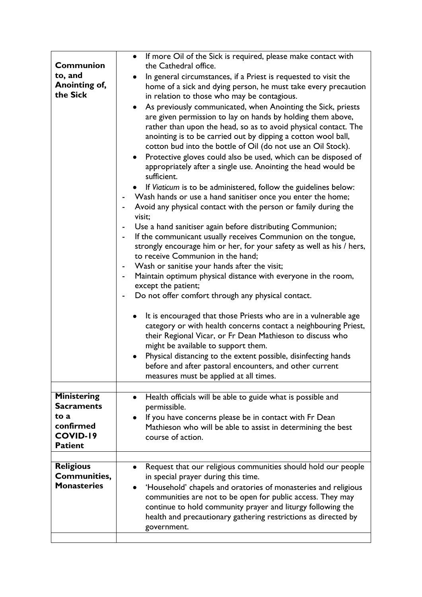| <b>Communion</b>    | • If more Oil of the Sick is required, please make contact with<br>the Cathedral office. |
|---------------------|------------------------------------------------------------------------------------------|
| to, and             |                                                                                          |
| Anointing of,       | In general circumstances, if a Priest is requested to visit the                          |
| the Sick            | home of a sick and dying person, he must take every precaution                           |
|                     | in relation to those who may be contagious.                                              |
|                     | As previously communicated, when Anointing the Sick, priests<br>$\bullet$                |
|                     | are given permission to lay on hands by holding them above,                              |
|                     | rather than upon the head, so as to avoid physical contact. The                          |
|                     | anointing is to be carried out by dipping a cotton wool ball,                            |
|                     | cotton bud into the bottle of Oil (do not use an Oil Stock).                             |
|                     | Protective gloves could also be used, which can be disposed of<br>$\bullet$              |
|                     | appropriately after a single use. Anointing the head would be                            |
|                     | sufficient.                                                                              |
|                     |                                                                                          |
|                     | If Viaticum is to be administered, follow the guidelines below:                          |
|                     | Wash hands or use a hand sanitiser once you enter the home;                              |
|                     | Avoid any physical contact with the person or family during the                          |
|                     | visit;                                                                                   |
|                     | Use a hand sanitiser again before distributing Communion;                                |
|                     | If the communicant usually receives Communion on the tongue,                             |
|                     | strongly encourage him or her, for your safety as well as his / hers,                    |
|                     | to receive Communion in the hand;                                                        |
|                     | Wash or sanitise your hands after the visit;                                             |
|                     | Maintain optimum physical distance with everyone in the room,                            |
|                     | except the patient;                                                                      |
|                     | Do not offer comfort through any physical contact.                                       |
|                     |                                                                                          |
|                     | It is encouraged that those Priests who are in a vulnerable age<br>٠                     |
|                     | category or with health concerns contact a neighbouring Priest,                          |
|                     | their Regional Vicar, or Fr Dean Mathieson to discuss who                                |
|                     | might be available to support them.                                                      |
|                     | Physical distancing to the extent possible, disinfecting hands                           |
|                     |                                                                                          |
|                     | before and after pastoral encounters, and other current                                  |
|                     | measures must be applied at all times.                                                   |
|                     |                                                                                          |
| <b>Ministering</b>  | Health officials will be able to guide what is possible and<br>$\bullet$                 |
| <b>Sacraments</b>   | permissible.                                                                             |
| to a                | If you have concerns please be in contact with Fr Dean                                   |
| confirmed           | Mathieson who will be able to assist in determining the best                             |
| COVID-19            | course of action.                                                                        |
| <b>Patient</b>      |                                                                                          |
|                     |                                                                                          |
| <b>Religious</b>    | Request that our religious communities should hold our people                            |
| <b>Communities,</b> | in special prayer during this time.                                                      |
| <b>Monasteries</b>  | 'Household' chapels and oratories of monasteries and religious                           |
|                     | communities are not to be open for public access. They may                               |
|                     | continue to hold community prayer and liturgy following the                              |
|                     | health and precautionary gathering restrictions as directed by                           |
|                     | government.                                                                              |
|                     |                                                                                          |
|                     |                                                                                          |